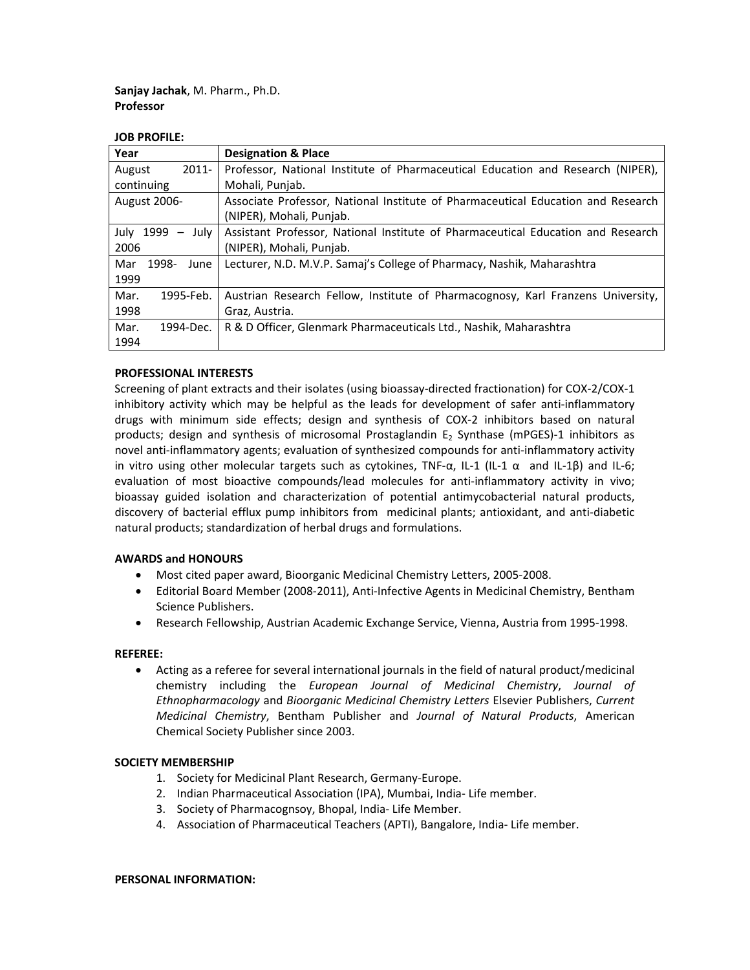**Sanjay Jachak**, M. Pharm., Ph.D. **Professor**

#### **JOB PROFILE:**

| Year                                          | <b>Designation &amp; Place</b>                                                   |
|-----------------------------------------------|----------------------------------------------------------------------------------|
| $2011 -$<br>August                            | Professor, National Institute of Pharmaceutical Education and Research (NIPER),  |
| continuing                                    | Mohali, Punjab.                                                                  |
| <b>August 2006-</b>                           | Associate Professor, National Institute of Pharmaceutical Education and Research |
|                                               | (NIPER), Mohali, Punjab.                                                         |
| July 1999<br>July<br>$\overline{\phantom{m}}$ | Assistant Professor, National Institute of Pharmaceutical Education and Research |
| 2006                                          | (NIPER), Mohali, Punjab.                                                         |
| 1998-<br>Mar<br>June                          | Lecturer, N.D. M.V.P. Samaj's College of Pharmacy, Nashik, Maharashtra           |
| 1999                                          |                                                                                  |
| Mar.<br>1995-Feb.                             | Austrian Research Fellow, Institute of Pharmacognosy, Karl Franzens University,  |
| 1998                                          | Graz, Austria.                                                                   |
| Mar.<br>1994-Dec.                             | R & D Officer, Glenmark Pharmaceuticals Ltd., Nashik, Maharashtra                |
| 1994                                          |                                                                                  |

## **PROFESSIONAL INTERESTS**

Screening of plant extracts and their isolates (using bioassay‐directed fractionation) for COX‐2/COX‐1 inhibitory activity which may be helpful as the leads for development of safer anti-inflammatory drugs with minimum side effects; design and synthesis of COX‐2 inhibitors based on natural products; design and synthesis of microsomal Prostaglandin  $E_2$  Synthase (mPGES)-1 inhibitors as novel anti-inflammatory agents; evaluation of synthesized compounds for anti-inflammatory activity in vitro using other molecular targets such as cytokines, TNF- $\alpha$ , IL-1 (IL-1  $\alpha$  and IL-1β) and IL-6; evaluation of most bioactive compounds/lead molecules for anti-inflammatory activity in vivo; bioassay guided isolation and characterization of potential antimycobacterial natural products, discovery of bacterial efflux pump inhibitors from medicinal plants; antioxidant, and anti‐diabetic natural products; standardization of herbal drugs and formulations.

## **AWARDS and HONOURS**

- Most cited paper award, Bioorganic Medicinal Chemistry Letters, 2005‐2008.
- Editorial Board Member (2008‐2011), Anti‐Infective Agents in Medicinal Chemistry, Bentham Science Publishers.
- Research Fellowship, Austrian Academic Exchange Service, Vienna, Austria from 1995‐1998.

## **REFEREE:**

 Acting as a referee for several international journals in the field of natural product/medicinal chemistry including the *European Journal of Medicinal Chemistry*, *Journal of Ethnopharmacology* and *Bioorganic Medicinal Chemistry Letters* Elsevier Publishers, *Current Medicinal Chemistry*, Bentham Publisher and *Journal of Natural Products*, American Chemical Society Publisher since 2003.

## **SOCIETY MEMBERSHIP**

- 1. Society for Medicinal Plant Research, Germany‐Europe.
- 2. Indian Pharmaceutical Association (IPA), Mumbai, India‐ Life member.
- 3. Society of Pharmacognsoy, Bhopal, India‐ Life Member.
- 4. Association of Pharmaceutical Teachers (APTI), Bangalore, India‐ Life member.

#### **PERSONAL INFORMATION:**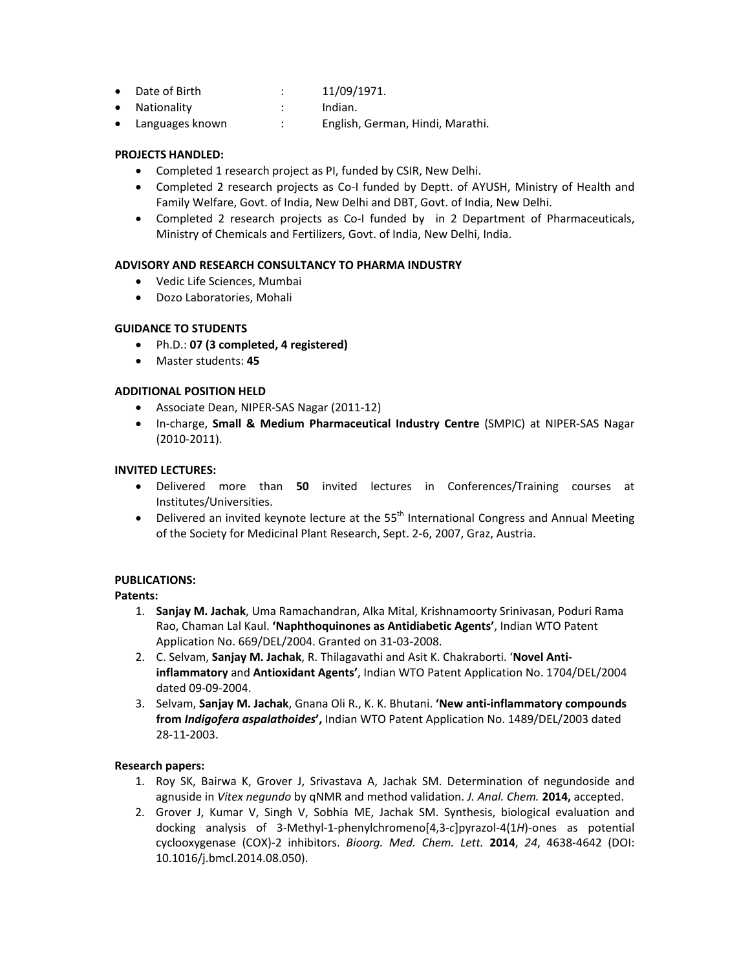- Date of Birth : 11/09/1971.
- Nationality : Indian.
- Languages known : English, German, Hindi, Marathi.

# **PROJECTS HANDLED:**

- Completed 1 research project as PI, funded by CSIR, New Delhi.
- Completed 2 research projects as Co-I funded by Deptt. of AYUSH, Ministry of Health and Family Welfare, Govt. of India, New Delhi and DBT, Govt. of India, New Delhi.
- Completed 2 research projects as Co-I funded by in 2 Department of Pharmaceuticals, Ministry of Chemicals and Fertilizers, Govt. of India, New Delhi, India.

## **ADVISORY AND RESEARCH CONSULTANCY TO PHARMA INDUSTRY**

- Vedic Life Sciences, Mumbai
- Dozo Laboratories, Mohali

## **GUIDANCE TO STUDENTS**

- Ph.D.: **07 (3 completed, 4 registered)**
- Master students: **45**

## **ADDITIONAL POSITION HELD**

- Associate Dean, NIPER‐SAS Nagar (2011‐12)
- In‐charge, **Small & Medium Pharmaceutical Industry Centre** (SMPIC) at NIPER‐SAS Nagar (2010‐2011).

#### **INVITED LECTURES:**

- Delivered more than **50** invited lectures in Conferences/Training courses at Institutes/Universities.
- Delivered an invited keynote lecture at the  $55<sup>th</sup>$  International Congress and Annual Meeting of the Society for Medicinal Plant Research, Sept. 2‐6, 2007, Graz, Austria.

## **PUBLICATIONS:**

## **Patents:**

- 1. **Sanjay M. Jachak**, Uma Ramachandran, Alka Mital, Krishnamoorty Srinivasan, Poduri Rama Rao, Chaman Lal Kaul. **'Naphthoquinones as Antidiabetic Agents'**, Indian WTO Patent Application No. 669/DEL/2004. Granted on 31‐03‐2008.
- 2. C. Selvam, **Sanjay M. Jachak**, R. Thilagavathi and Asit K. Chakraborti. '**Novel Anti‐ inflammatory** and **Antioxidant Agents'**, Indian WTO Patent Application No. 1704/DEL/2004 dated 09‐09‐2004.
- 3. Selvam, **Sanjay M. Jachak**, Gnana Oli R., K. K. Bhutani. **'New anti‐inflammatory compounds from** *Indigofera aspalathoides***',** Indian WTO Patent Application No. 1489/DEL/2003 dated 28‐11‐2003.

## **Research papers:**

- 1. Roy SK, Bairwa K, Grover J, Srivastava A, Jachak SM. Determination of negundoside and agnuside in *Vitex negundo* by qNMR and method validation. *J. Anal. Chem.* **2014,** accepted.
- 2. Grover J, Kumar V, Singh V, Sobhia ME, Jachak SM. Synthesis, biological evaluation and docking analysis of 3‐Methyl‐1‐phenylchromeno[4,3‐*c*]pyrazol‐4(1*H*)‐ones as potential cyclooxygenase (COX)‐2 inhibitors. *Bioorg. Med. Chem. Lett.* **2014**, *24*, 4638‐4642 (DOI: 10.1016/j.bmcl.2014.08.050).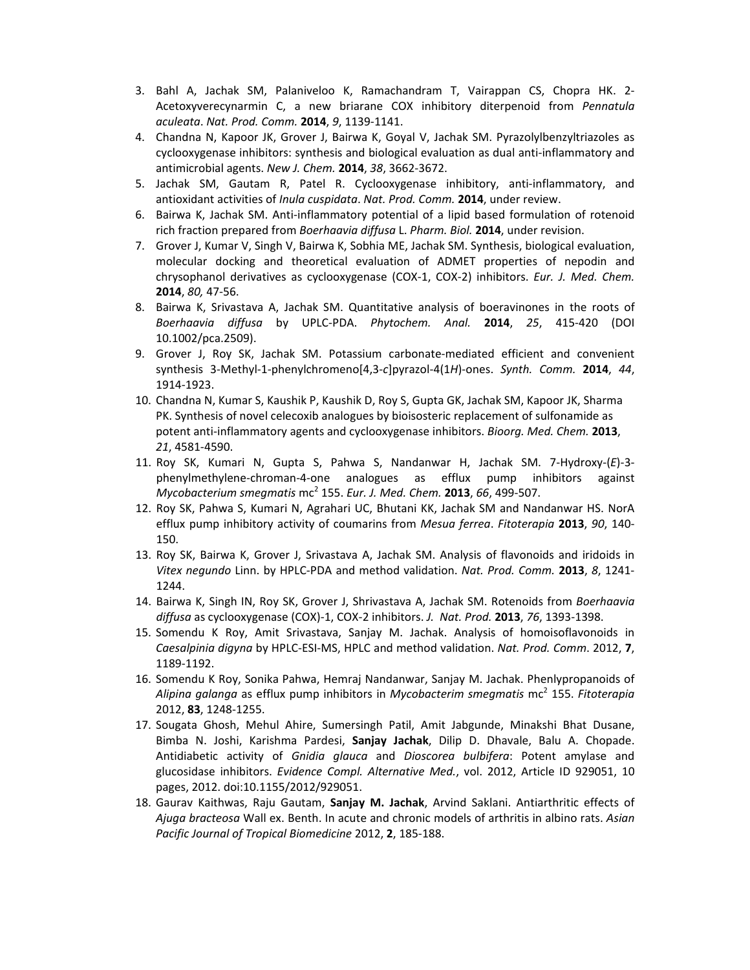- 3. Bahl A, Jachak SM, Palaniveloo K, Ramachandram T, Vairappan CS, Chopra HK. 2‐ Acetoxyverecynarmin C, a new briarane COX inhibitory diterpenoid from *Pennatula aculeata*. *Nat. Prod. Comm.* **2014**, *9*, 1139‐1141.
- 4. Chandna N, Kapoor JK, Grover J, Bairwa K, Goyal V, Jachak SM. Pyrazolylbenzyltriazoles as cyclooxygenase inhibitors: synthesis and biological evaluation as dual anti-inflammatory and antimicrobial agents. *New J. Chem.* **2014**, *38*, 3662‐3672.
- 5. Jachak SM, Gautam R, Patel R. Cyclooxygenase inhibitory, anti‐inflammatory, and antioxidant activities of *Inula cuspidata*. *Nat. Prod. Comm.* **2014**, under review.
- 6. Bairwa K, Jachak SM. Anti‐inflammatory potential of a lipid based formulation of rotenoid rich fraction prepared from *Boerhaavia diffusa* L. *Pharm. Biol.* **2014**, under revision.
- 7. Grover J, Kumar V, Singh V, Bairwa K, Sobhia ME, Jachak SM. Synthesis, biological evaluation, molecular docking and theoretical evaluation of ADMET properties of nepodin and chrysophanol derivatives as cyclooxygenase (COX‐1, COX‐2) inhibitors. *Eur. J. Med. Chem.* **2014**, *80,* 47‐56.
- 8. Bairwa K, Srivastava A, Jachak SM. Quantitative analysis of boeravinones in the roots of *Boerhaavia diffusa* by UPLC‐PDA. *Phytochem. Anal.* **2014**, *25*, 415‐420 (DOI 10.1002/pca.2509).
- 9. Grover J, Roy SK, Jachak SM. Potassium carbonate‐mediated efficient and convenient synthesis 3‐Methyl‐1‐phenylchromeno[4,3‐*c*]pyrazol‐4(1*H*)‐ones. *Synth. Comm.* **2014**, *44*, 1914‐1923.
- 10. Chandna N, Kumar S, Kaushik P, Kaushik D, Roy S, Gupta GK, Jachak SM, Kapoor JK, Sharma PK. Synthesis of novel celecoxib analogues by bioisosteric replacement of sulfonamide as potent anti‐inflammatory agents and cyclooxygenase inhibitors. *Bioorg. Med. Chem.* **2013**, *21*, 4581‐4590.
- 11. Roy SK, Kumari N, Gupta S, Pahwa S, Nandanwar H, Jachak SM. 7‐Hydroxy‐(*E*)‐3‐ phenylmethylene‐chroman‐4‐one analogues as efflux pump inhibitors against *Mycobacterium smegmatis* mc<sup>2</sup> 155. *Eur. J. Med. Chem.* **2013**, *66*, 499‐507.
- 12. Roy SK, Pahwa S, Kumari N, Agrahari UC, Bhutani KK, Jachak SM and Nandanwar HS. NorA efflux pump inhibitory activity of coumarins from *Mesua ferrea*. *Fitoterapia* **2013**, *90*, 140‐ 150.
- 13. Roy SK, Bairwa K, Grover J, Srivastava A, Jachak SM. Analysis of flavonoids and iridoids in *Vitex negundo* Linn. by HPLC‐PDA and method validation. *Nat. Prod. Comm.* **2013**, *8*, 1241‐ 1244.
- 14. Bairwa K, Singh IN, Roy SK, Grover J, Shrivastava A, Jachak SM. Rotenoids from *Boerhaavia diffusa* as cyclooxygenase (COX)‐1, COX‐2 inhibitors. *J. Nat. Prod.* **2013**, *76*, 1393‐1398.
- 15. Somendu K Roy, Amit Srivastava, Sanjay M. Jachak. Analysis of homoisoflavonoids in *Caesalpinia digyna* by HPLC‐ESI‐MS, HPLC and method validation. *Nat. Prod. Comm*. 2012, **7**, 1189‐1192.
- 16. Somendu K Roy, Sonika Pahwa, Hemraj Nandanwar, Sanjay M. Jachak. Phenlypropanoids of *Alipina galanga* as efflux pump inhibitors in *Mycobacterim smegmatis* mc<sup>2</sup> 155. *Fitoterapia* 2012, **83**, 1248‐1255.
- 17. Sougata Ghosh, Mehul Ahire, Sumersingh Patil, Amit Jabgunde, Minakshi Bhat Dusane, Bimba N. Joshi, Karishma Pardesi, **Sanjay Jachak**, Dilip D. Dhavale, Balu A. Chopade. Antidiabetic activity of *Gnidia glauca* and *Dioscorea bulbifera*: Potent amylase and glucosidase inhibitors. *Evidence Compl. Alternative Med.*, vol. 2012, Article ID 929051, 10 pages, 2012. doi:10.1155/2012/929051.
- 18. Gaurav Kaithwas, Raju Gautam, **Sanjay M. Jachak**, Arvind Saklani. Antiarthritic effects of *Ajuga bracteosa* Wall ex. Benth. In acute and chronic models of arthritis in albino rats. *Asian Pacific Journal of Tropical Biomedicine* 2012, **2**, 185‐188.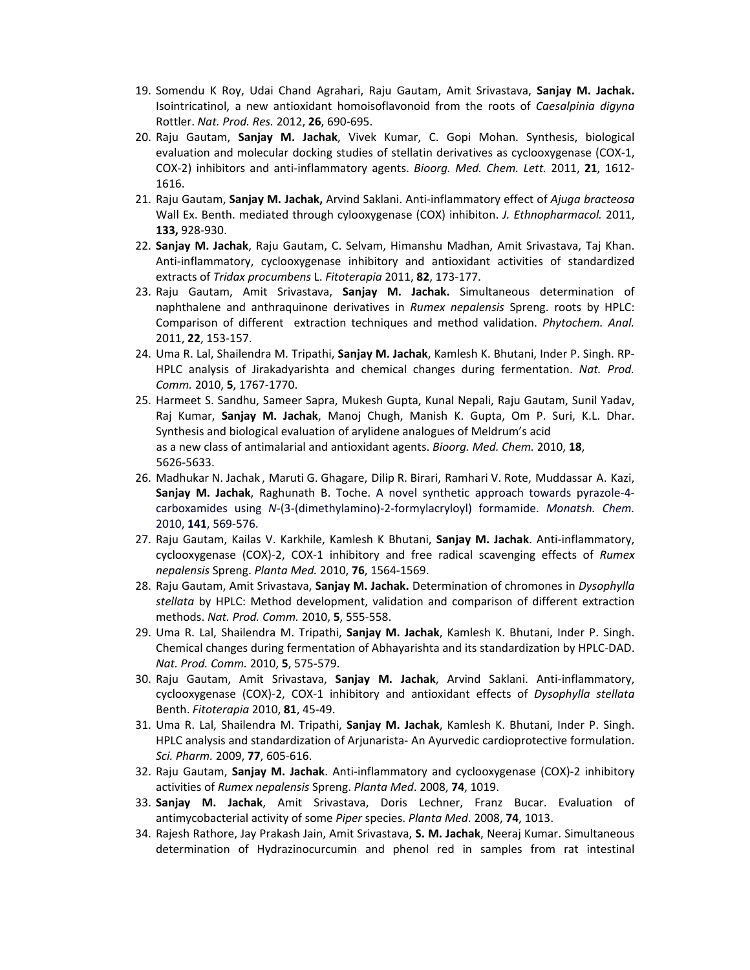- 19. Somendu K Roy, Udai Chand Agrahari, Raju Gautam, Amit Srivastava, **Sanjay M. Jachak.** Isointricatinol, a new antioxidant homoisoflavonoid from the roots of *Caesalpinia digyna* Rottler. *Nat. Prod. Res.* 2012, **26**, 690‐695.
- 20. Raju Gautam, **Sanjay M. Jachak**, Vivek Kumar, C. Gopi Mohan. Synthesis, biological evaluation and molecular docking studies of stellatin derivatives as cyclooxygenase (COX‐1, COX‐2) inhibitors and anti‐inflammatory agents. *Bioorg. Med. Chem. Lett.* 2011, **21**, 1612‐ 1616.
- 21. Raju Gautam, **Sanjay M. Jachak,** Arvind Saklani. Anti‐inflammatory effect of *Ajuga bracteosa* Wall Ex. Benth. mediated through cylooxygenase (COX) inhibiton. *J. Ethnopharmacol.* 2011, **133,** 928‐930.
- 22. **Sanjay M. Jachak**, Raju Gautam, C. Selvam, Himanshu Madhan, Amit Srivastava, Taj Khan. Anti-inflammatory, cyclooxygenase inhibitory and antioxidant activities of standardized extracts of *Tridax procumbens* L. *Fitoterapia* 2011, **82**, 173‐177.
- 23. Raju Gautam, Amit Srivastava, **Sanjay M. Jachak.** Simultaneous determination of naphthalene and anthraquinone derivatives in *Rumex nepalensis* Spreng. roots by HPLC: Comparison of different extraction techniques and method validation. *Phytochem. Anal.* 2011, **22**, 153‐157.
- 24. Uma R. Lal, Shailendra M. Tripathi, **Sanjay M. Jachak**, Kamlesh K. Bhutani, Inder P. Singh. RP‐ HPLC analysis of Jirakadyarishta and chemical changes during fermentation. *Nat. Prod. Comm.* 2010, **5**, 1767‐1770.
- 25. Harmeet S. Sandhu, Sameer Sapra, Mukesh Gupta, Kunal Nepali, Raju Gautam, Sunil Yadav, Raj Kumar, **Sanjay M. Jachak**, Manoj Chugh, Manish K. Gupta, Om P. Suri, K.L. Dhar. Synthesis and biological evaluation of arylidene analogues of Meldrum's acid as a new class of antimalarial and antioxidant agents. *Bioorg. Med. Chem.* 2010, **18**, 5626‐5633.
- 26. Madhukar N. Jachak , Maruti G. Ghagare, Dilip R. Birari, Ramhari V. Rote, Muddassar A. Kazi, **Sanjay M. Jachak**, Raghunath B. Toche. A novel synthetic approach towards pyrazole‐4‐ carboxamides using *N*‐(3‐(dimethylamino)‐2‐formylacryloyl) formamide. *Monatsh. Chem.* 2010, **141**, 569‐576.
- 27. Raju Gautam, Kailas V. Karkhile, Kamlesh K Bhutani, **Sanjay M. Jachak**. Anti‐inflammatory, cyclooxygenase (COX)‐2, COX‐1 inhibitory and free radical scavenging effects of *Rumex nepalensis* Spreng. *Planta Med.* 2010, **76**, 1564‐1569.
- 28. Raju Gautam, Amit Srivastava, **Sanjay M. Jachak.** Determination of chromones in *Dysophylla stellata* by HPLC: Method development, validation and comparison of different extraction methods. *Nat. Prod. Comm.* 2010, **5**, 555‐558.
- 29. Uma R. Lal, Shailendra M. Tripathi, **Sanjay M. Jachak**, Kamlesh K. Bhutani, Inder P. Singh. Chemical changes during fermentation of Abhayarishta and its standardization by HPLC‐DAD. *Nat. Prod. Comm.* 2010, **5**, 575‐579.
- 30. Raju Gautam, Amit Srivastava, **Sanjay M. Jachak**, Arvind Saklani. Anti‐inflammatory, cyclooxygenase (COX)‐2, COX‐1 inhibitory and antioxidant effects of *Dysophylla stellata* Benth. *Fitoterapia* 2010, **81**, 45‐49.
- 31. Uma R. Lal, Shailendra M. Tripathi, **Sanjay M. Jachak**, Kamlesh K. Bhutani, Inder P. Singh. HPLC analysis and standardization of Arjunarista‐ An Ayurvedic cardioprotective formulation. *Sci. Pharm.* 2009, **77**, 605‐616.
- 32. Raju Gautam, **Sanjay M. Jachak**. Anti‐inflammatory and cyclooxygenase (COX)‐2 inhibitory activities of *Rumex nepalensis* Spreng. *Planta Med*. 2008, **74**, 1019.
- 33. **Sanjay M. Jachak**, Amit Srivastava, Doris Lechner, Franz Bucar. Evaluation of antimycobacterial activity of some *Piper* species. *Planta Med*. 2008, **74**, 1013.
- 34. Rajesh Rathore, Jay Prakash Jain, Amit Srivastava, **S. M. Jachak**, Neeraj Kumar. Simultaneous determination of Hydrazinocurcumin and phenol red in samples from rat intestinal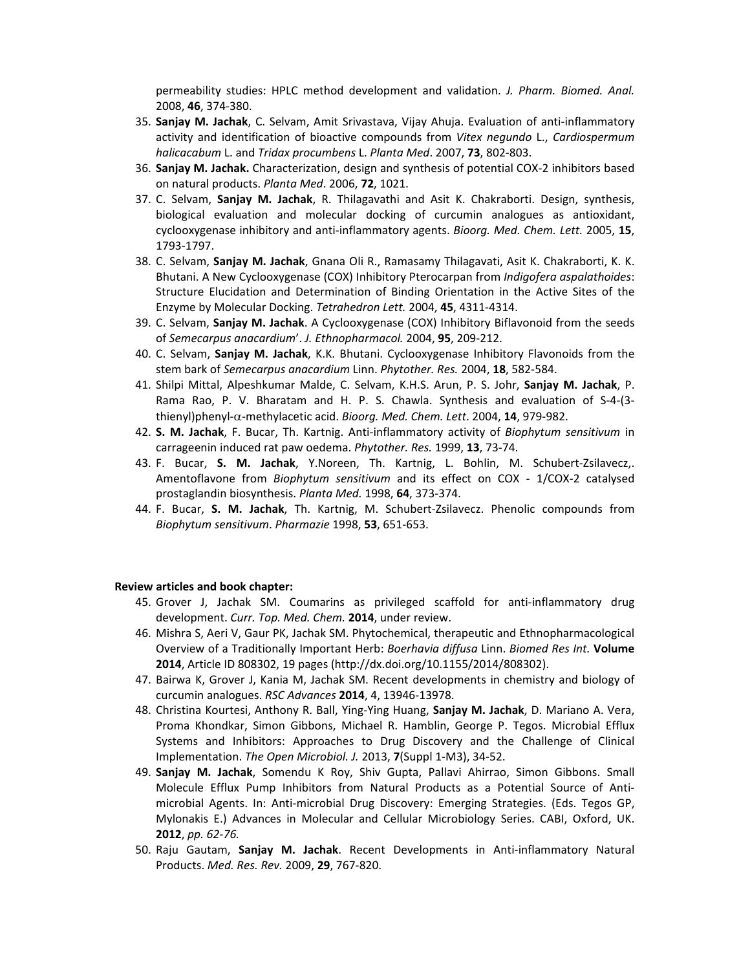permeability studies: HPLC method development and validation. *J. Pharm. Biomed. Anal.* 2008, **46**, 374‐380.

- 35. **Sanjay M. Jachak**, C. Selvam, Amit Srivastava, Vijay Ahuja. Evaluation of anti‐inflammatory activity and identification of bioactive compounds from *Vitex negundo* L., *Cardiospermum halicacabum* L. and *Tridax procumbens* L. *Planta Med*. 2007, **73**, 802‐803.
- 36. **Sanjay M. Jachak.** Characterization, design and synthesis of potential COX‐2 inhibitors based on natural products. *Planta Med*. 2006, **72**, 1021.
- 37. C. Selvam, **Sanjay M. Jachak**, R. Thilagavathi and Asit K. Chakraborti. Design, synthesis, biological evaluation and molecular docking of curcumin analogues as antioxidant, cyclooxygenase inhibitory and anti‐inflammatory agents. *Bioorg. Med. Chem. Lett.* 2005, **15**, 1793‐1797.
- 38. C. Selvam, **Sanjay M. Jachak**, Gnana Oli R., Ramasamy Thilagavati, Asit K. Chakraborti, K. K. Bhutani. A New Cyclooxygenase (COX) Inhibitory Pterocarpan from *Indigofera aspalathoides*: Structure Elucidation and Determination of Binding Orientation in the Active Sites of the Enzyme by Molecular Docking. *Tetrahedron Lett.* 2004, **45**, 4311‐4314.
- 39. C. Selvam, **Sanjay M. Jachak**. A Cyclooxygenase (COX) Inhibitory Biflavonoid from the seeds of *Semecarpus anacardium*'. *J. Ethnopharmacol.* 2004, **95**, 209‐212.
- 40. C. Selvam, **Sanjay M. Jachak**, K.K. Bhutani. Cyclooxygenase Inhibitory Flavonoids from the stem bark of *Semecarpus anacardium* Linn. *Phytother. Res.* 2004, **18**, 582‐584.
- 41. Shilpi Mittal, Alpeshkumar Malde, C. Selvam, K.H.S. Arun, P. S. Johr, **Sanjay M. Jachak**, P. Rama Rao, P. V. Bharatam and H. P. S. Chawla. Synthesis and evaluation of S‐4‐(3‐ thienyl)phenyl‐‐methylacetic acid. *Bioorg. Med. Chem. Lett*. 2004, **14**, 979‐982.
- 42. **S. M. Jachak**, F. Bucar, Th. Kartnig. Anti‐inflammatory activity of *Biophytum sensitivum* in carrageenin induced rat paw oedema. *Phytother. Res.* 1999, **13**, 73‐74.
- 43. F. Bucar, **S. M. Jachak**, Y.Noreen, Th. Kartnig, L. Bohlin, M. Schubert‐Zsilavecz,. Amentoflavone from *Biophytum sensitivum* and its effect on COX ‐ 1/COX‐2 catalysed prostaglandin biosynthesis. *Planta Med.* 1998, **64**, 373‐374.
- 44. F. Bucar, **S. M. Jachak**, Th. Kartnig, M. Schubert‐Zsilavecz. Phenolic compounds from *Biophytum sensitivum*. *Pharmazie* 1998, **53**, 651‐653.

#### **Review articles and book chapter:**

- 45. Grover J, Jachak SM. Coumarins as privileged scaffold for anti-inflammatory drug development. *Curr. Top. Med. Chem.* **2014**, under review.
- 46. Mishra S, Aeri V, Gaur PK, Jachak SM. Phytochemical, therapeutic and Ethnopharmacological Overview of a Traditionally Important Herb: *Boerhavia diffusa* Linn. *Biomed Res Int.* **Volume 2014**, Article ID 808302, 19 pages (http://dx.doi.org/10.1155/2014/808302).
- 47. Bairwa K, Grover J, Kania M, Jachak SM. Recent developments in chemistry and biology of curcumin analogues. *RSC Advances* **2014**, 4, 13946‐13978.
- 48. Christina Kourtesi, Anthony R. Ball, Ying‐Ying Huang, **Sanjay M. Jachak**, D. Mariano A. Vera, Proma Khondkar, Simon Gibbons, Michael R. Hamblin, George P. Tegos. Microbial Efflux Systems and Inhibitors: Approaches to Drug Discovery and the Challenge of Clinical Implementation. *The Open Microbiol. J.* 2013, **7**(Suppl 1‐M3), 34‐52.
- 49. **Sanjay M. Jachak**, Somendu K Roy, Shiv Gupta, Pallavi Ahirrao, Simon Gibbons. Small Molecule Efflux Pump Inhibitors from Natural Products as a Potential Source of Anti‐ microbial Agents. In: Anti‐microbial Drug Discovery: Emerging Strategies. (Eds. Tegos GP, Mylonakis E.) Advances in Molecular and Cellular Microbiology Series. CABI, Oxford, UK. **2012**, *pp. 62‐76.*
- 50. Raju Gautam, **Sanjay M. Jachak**. Recent Developments in Anti‐inflammatory Natural Products. *Med. Res. Rev.* 2009, **29**, 767‐820.